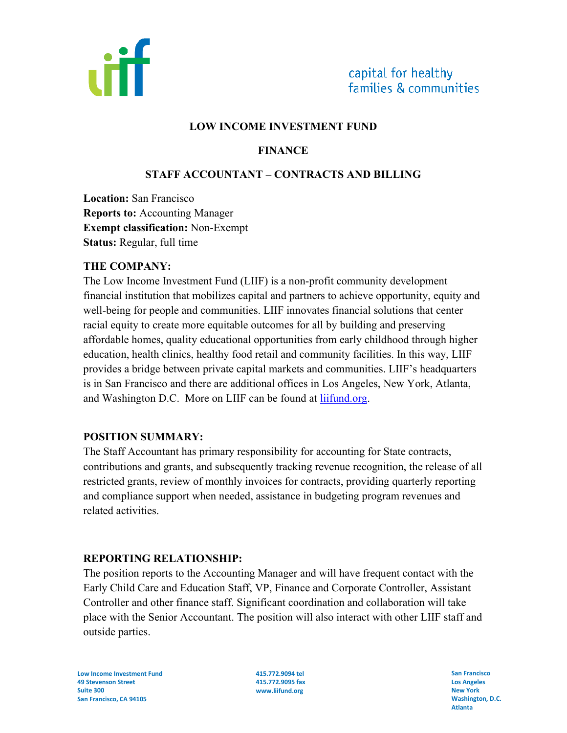

#### **LOW INCOME INVESTMENT FUND**

## **FINANCE**

### **STAFF ACCOUNTANT – CONTRACTS AND BILLING**

**Location:** San Francisco **Reports to:** Accounting Manager **Exempt classification:** Non-Exempt **Status:** Regular, full time

#### **THE COMPANY:**

The Low Income Investment Fund (LIIF) is a non-profit community development financial institution that mobilizes capital and partners to achieve opportunity, equity and well-being for people and communities. LIIF innovates financial solutions that center racial equity to create more equitable outcomes for all by building and preserving affordable homes, quality educational opportunities from early childhood through higher education, health clinics, healthy food retail and community facilities. In this way, LIIF provides a bridge between private capital markets and communities. LIIF's headquarters is in San Francisco and there are additional offices in Los Angeles, New York, Atlanta, and Washington D.C. More on LIIF can be found at liifund.org.

#### **POSITION SUMMARY:**

The Staff Accountant has primary responsibility for accounting for State contracts, contributions and grants, and subsequently tracking revenue recognition, the release of all restricted grants, review of monthly invoices for contracts, providing quarterly reporting and compliance support when needed, assistance in budgeting program revenues and related activities.

#### **REPORTING RELATIONSHIP:**

The position reports to the Accounting Manager and will have frequent contact with the Early Child Care and Education Staff, VP, Finance and Corporate Controller, Assistant Controller and other finance staff. Significant coordination and collaboration will take place with the Senior Accountant. The position will also interact with other LIIF staff and outside parties.

**Low Income Investment Fund 49 Stevenson Street Suite 300 San Francisco, CA 94105** 

**415.772.9094 tel 415.772.9095 fax www.liifund.org** 

**San Francisco Los Angeles New York Washington, D.C. Atlanta**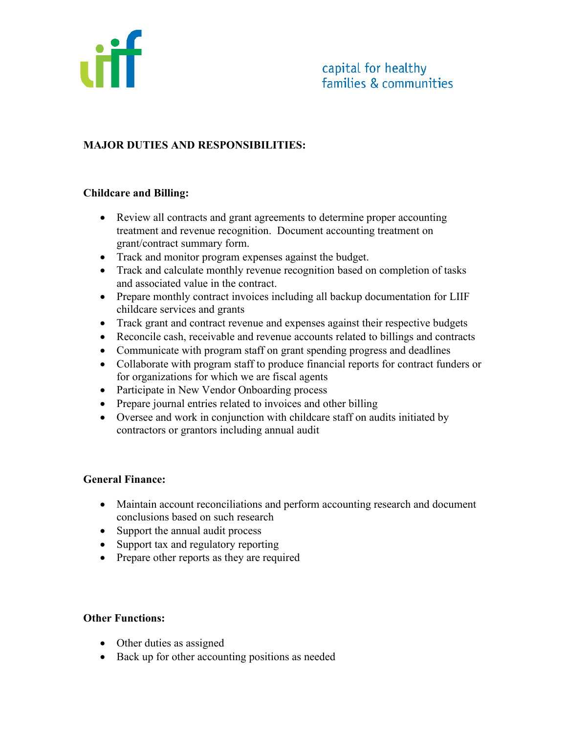

# **MAJOR DUTIES AND RESPONSIBILITIES:**

#### **Childcare and Billing:**

- Review all contracts and grant agreements to determine proper accounting treatment and revenue recognition. Document accounting treatment on grant/contract summary form.
- Track and monitor program expenses against the budget.
- Track and calculate monthly revenue recognition based on completion of tasks and associated value in the contract.
- Prepare monthly contract invoices including all backup documentation for LIIF childcare services and grants
- Track grant and contract revenue and expenses against their respective budgets
- Reconcile cash, receivable and revenue accounts related to billings and contracts
- Communicate with program staff on grant spending progress and deadlines
- Collaborate with program staff to produce financial reports for contract funders or for organizations for which we are fiscal agents
- Participate in New Vendor Onboarding process
- Prepare journal entries related to invoices and other billing
- Oversee and work in conjunction with childcare staff on audits initiated by contractors or grantors including annual audit

#### **General Finance:**

- Maintain account reconciliations and perform accounting research and document conclusions based on such research
- Support the annual audit process
- Support tax and regulatory reporting
- Prepare other reports as they are required

#### **Other Functions:**

- Other duties as assigned
- Back up for other accounting positions as needed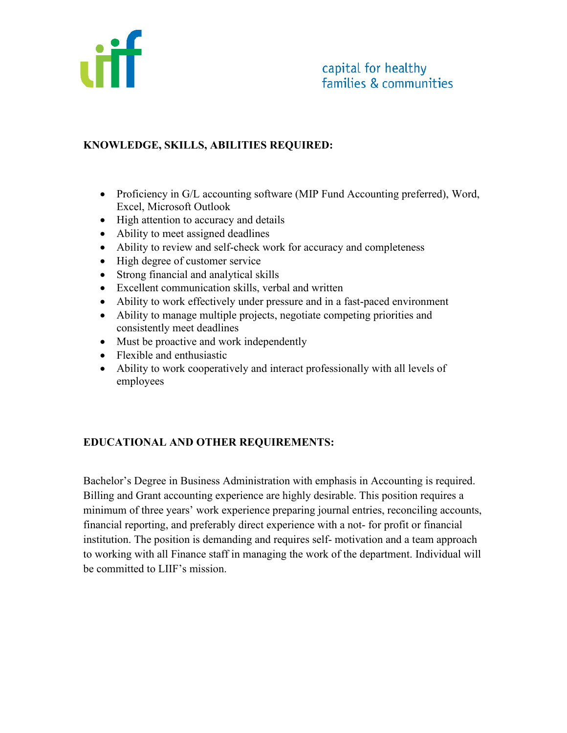

# **KNOWLEDGE, SKILLS, ABILITIES REQUIRED:**

- Proficiency in G/L accounting software (MIP Fund Accounting preferred), Word, Excel, Microsoft Outlook
- High attention to accuracy and details
- Ability to meet assigned deadlines
- Ability to review and self-check work for accuracy and completeness
- High degree of customer service
- Strong financial and analytical skills
- Excellent communication skills, verbal and written
- Ability to work effectively under pressure and in a fast-paced environment
- Ability to manage multiple projects, negotiate competing priorities and consistently meet deadlines
- Must be proactive and work independently
- Flexible and enthusiastic
- Ability to work cooperatively and interact professionally with all levels of employees

# **EDUCATIONAL AND OTHER REQUIREMENTS:**

Bachelor's Degree in Business Administration with emphasis in Accounting is required. Billing and Grant accounting experience are highly desirable. This position requires a minimum of three years' work experience preparing journal entries, reconciling accounts, financial reporting, and preferably direct experience with a not- for profit or financial institution. The position is demanding and requires self- motivation and a team approach to working with all Finance staff in managing the work of the department. Individual will be committed to LIIF's mission.